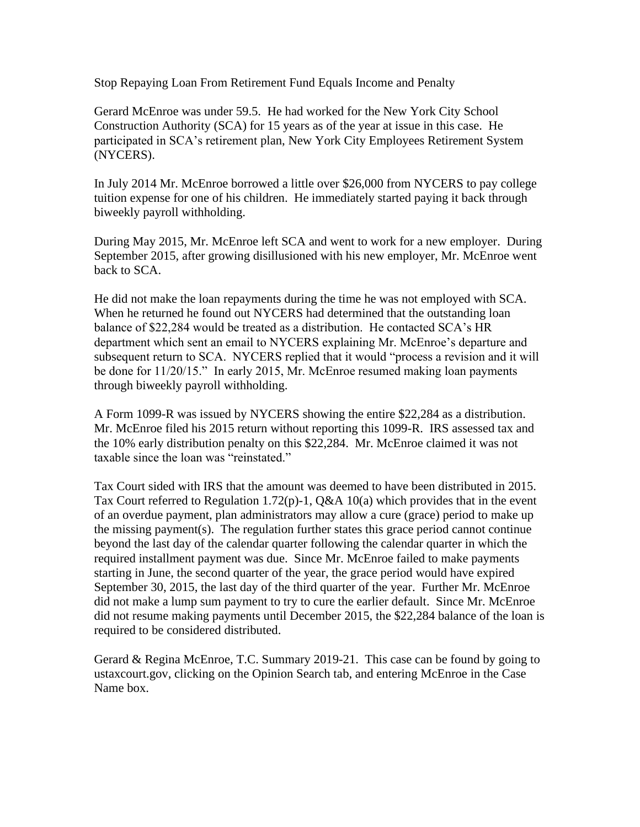Stop Repaying Loan From Retirement Fund Equals Income and Penalty

Gerard McEnroe was under 59.5. He had worked for the New York City School Construction Authority (SCA) for 15 years as of the year at issue in this case. He participated in SCA's retirement plan, New York City Employees Retirement System (NYCERS).

In July 2014 Mr. McEnroe borrowed a little over \$26,000 from NYCERS to pay college tuition expense for one of his children. He immediately started paying it back through biweekly payroll withholding.

During May 2015, Mr. McEnroe left SCA and went to work for a new employer. During September 2015, after growing disillusioned with his new employer, Mr. McEnroe went back to SCA.

He did not make the loan repayments during the time he was not employed with SCA. When he returned he found out NYCERS had determined that the outstanding loan balance of \$22,284 would be treated as a distribution. He contacted SCA's HR department which sent an email to NYCERS explaining Mr. McEnroe's departure and subsequent return to SCA. NYCERS replied that it would "process a revision and it will be done for 11/20/15." In early 2015, Mr. McEnroe resumed making loan payments through biweekly payroll withholding.

A Form 1099-R was issued by NYCERS showing the entire \$22,284 as a distribution. Mr. McEnroe filed his 2015 return without reporting this 1099-R. IRS assessed tax and the 10% early distribution penalty on this \$22,284. Mr. McEnroe claimed it was not taxable since the loan was "reinstated."

Tax Court sided with IRS that the amount was deemed to have been distributed in 2015. Tax Court referred to Regulation 1.72(p)-1, Q&A 10(a) which provides that in the event of an overdue payment, plan administrators may allow a cure (grace) period to make up the missing payment(s). The regulation further states this grace period cannot continue beyond the last day of the calendar quarter following the calendar quarter in which the required installment payment was due. Since Mr. McEnroe failed to make payments starting in June, the second quarter of the year, the grace period would have expired September 30, 2015, the last day of the third quarter of the year. Further Mr. McEnroe did not make a lump sum payment to try to cure the earlier default. Since Mr. McEnroe did not resume making payments until December 2015, the \$22,284 balance of the loan is required to be considered distributed.

Gerard & Regina McEnroe, T.C. Summary 2019-21. This case can be found by going to ustaxcourt.gov, clicking on the Opinion Search tab, and entering McEnroe in the Case Name box.